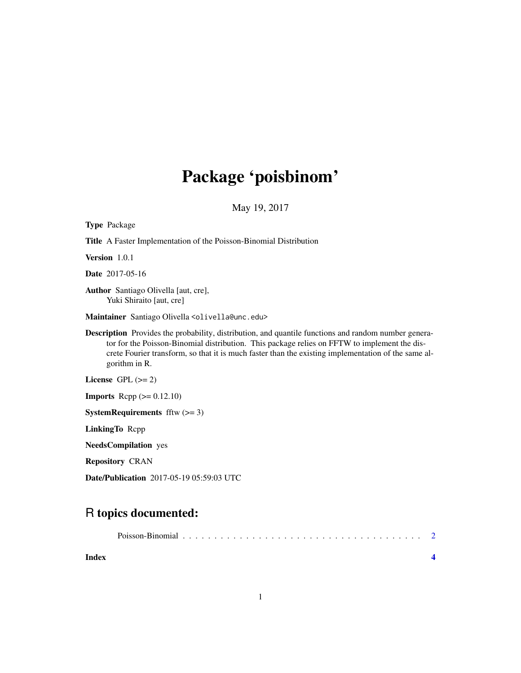# Package 'poisbinom'

May 19, 2017

| <b>Type Package</b>                                                                                                                                                                                                                                                                                                                 |
|-------------------------------------------------------------------------------------------------------------------------------------------------------------------------------------------------------------------------------------------------------------------------------------------------------------------------------------|
| <b>Title</b> A Faster Implementation of the Poisson-Binomial Distribution                                                                                                                                                                                                                                                           |
| <b>Version</b> 1.0.1                                                                                                                                                                                                                                                                                                                |
| <b>Date</b> 2017-05-16                                                                                                                                                                                                                                                                                                              |
| Author Santiago Olivella [aut, cre],<br>Yuki Shiraito [aut, cre]                                                                                                                                                                                                                                                                    |
| Maintainer Santiago Olivella <olivella@unc.edu></olivella@unc.edu>                                                                                                                                                                                                                                                                  |
| <b>Description</b> Provides the probability, distribution, and quantile functions and random number genera-<br>tor for the Poisson-Binomial distribution. This package relies on FFTW to implement the dis-<br>crete Fourier transform, so that it is much faster than the existing implementation of the same al-<br>gorithm in R. |
| License GPL $(>= 2)$                                                                                                                                                                                                                                                                                                                |
| <b>Imports</b> Repp $(>= 0.12.10)$                                                                                                                                                                                                                                                                                                  |
| <b>SystemRequirements</b> fftw $(>= 3)$                                                                                                                                                                                                                                                                                             |
| LinkingTo Repp                                                                                                                                                                                                                                                                                                                      |
| <b>NeedsCompilation</b> yes                                                                                                                                                                                                                                                                                                         |
| <b>Repository CRAN</b>                                                                                                                                                                                                                                                                                                              |

Date/Publication 2017-05-19 05:59:03 UTC

### R topics documented:

| Index |  |  |  |  |  |  |  |  |  |  |  |
|-------|--|--|--|--|--|--|--|--|--|--|--|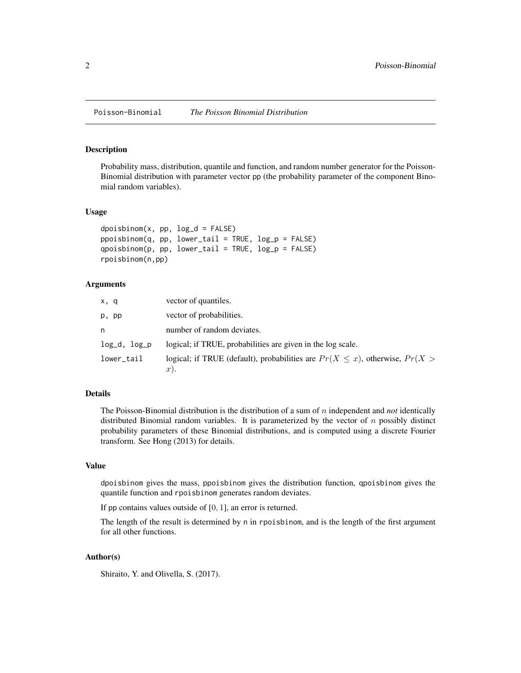<span id="page-1-0"></span>Poisson-Binomial *The Poisson Binomial Distribution*

#### Description

Probability mass, distribution, quantile and function, and random number generator for the Poisson-Binomial distribution with parameter vector pp (the probability parameter of the component Binomial random variables).

#### Usage

```
dpoisbinom(x, pp, log_d = FALSE)
ppoisbinom(q, pp, lower\_tail = TRUE, log_p = FALSE)qpoisbinom(p, pp, lower\_tail = TRUE, log_p = FALSE)rpoisbinom(n,pp)
```
#### Arguments

| x, q         | vector of quantiles.                                                               |
|--------------|------------------------------------------------------------------------------------|
| p, pp        | vector of probabilities.                                                           |
| n            | number of random deviates.                                                         |
| log_d, log_p | logical; if TRUE, probabilities are given in the log scale.                        |
| lower_tail   | logical; if TRUE (default), probabilities are $Pr(X \leq x)$ , otherwise, $Pr(X >$ |
|              | $x$ ).                                                                             |

#### Details

The Poisson-Binomial distribution is the distribution of a sum of n independent and *not* identically distributed Binomial random variables. It is parameterized by the vector of  $n$  possibly distinct probability parameters of these Binomial distributions, and is computed using a discrete Fourier transform. See Hong (2013) for details.

#### Value

dpoisbinom gives the mass, ppoisbinom gives the distribution function, qpoisbinom gives the quantile function and rpoisbinom generates random deviates.

If pp contains values outside of [0, 1], an error is returned.

The length of the result is determined by n in rpoisbinom, and is the length of the first argument for all other functions.

#### Author(s)

Shiraito, Y. and Olivella, S. (2017).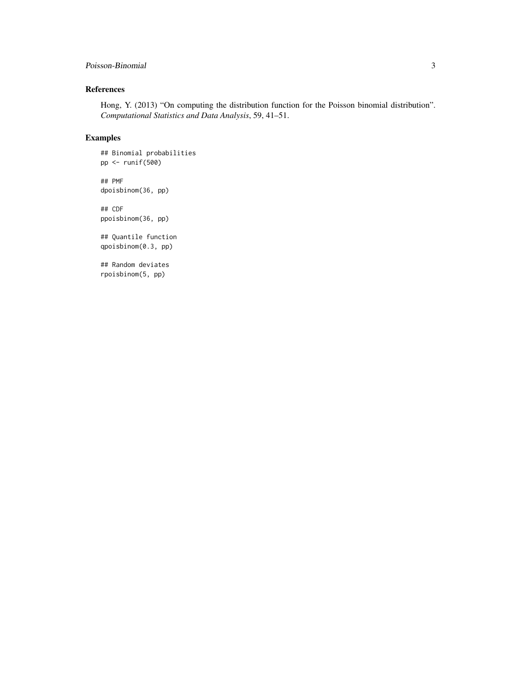#### Poisson-Binomial 3

#### References

Hong, Y. (2013) "On computing the distribution function for the Poisson binomial distribution". *Computational Statistics and Data Analysis*, 59, 41–51.

#### Examples

## Binomial probabilities pp <- runif(500)

## PMF dpoisbinom(36, pp)

## CDF ppoisbinom(36, pp)

## Quantile function qpoisbinom(0.3, pp)

## Random deviates rpoisbinom(5, pp)